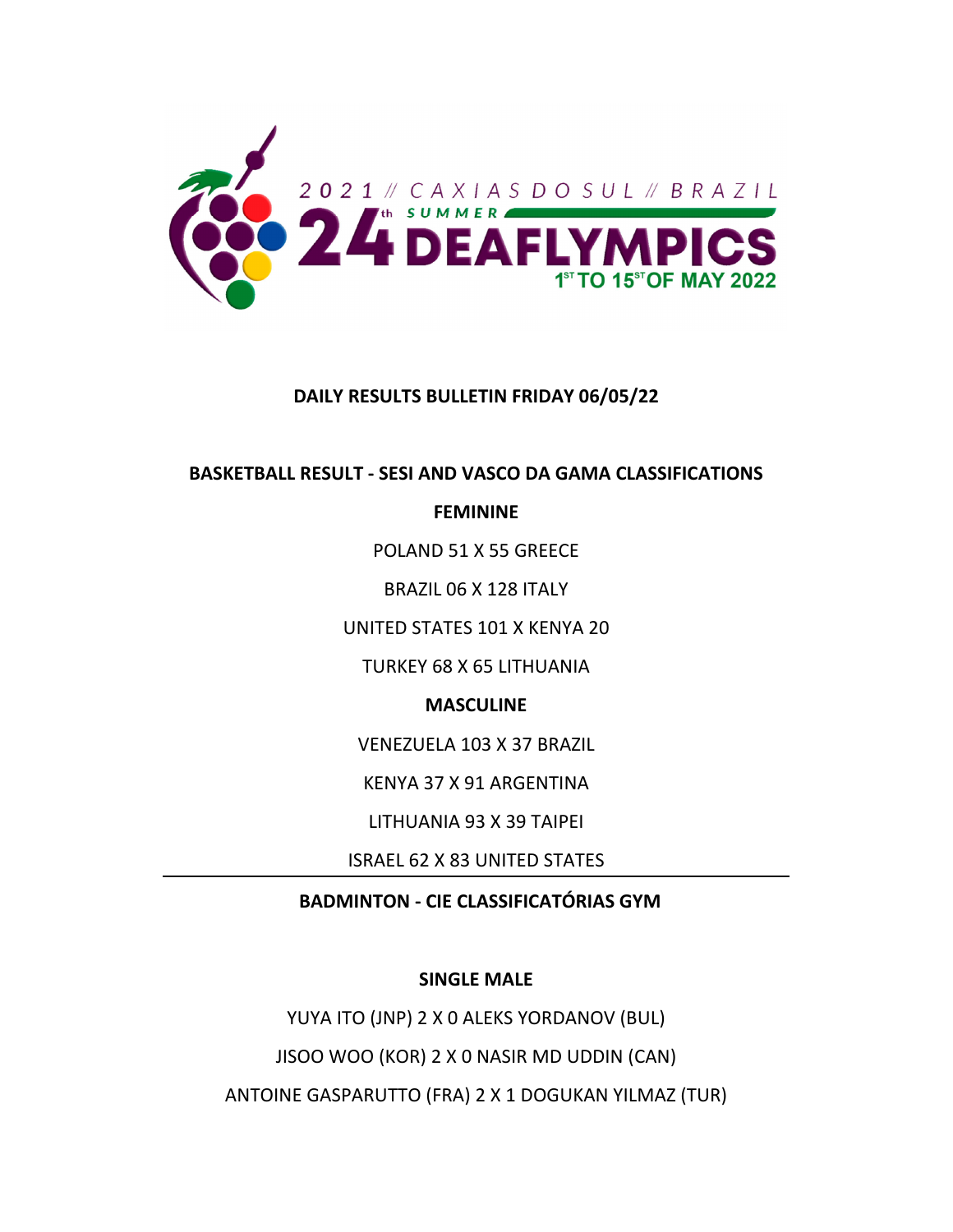

## **DAILY RESULTS BULLETIN FRIDAY 06/05/22**

## **BASKETBALL RESULT ‐ SESI AND VASCO DA GAMA CLASSIFICATIONS**

## **FEMININE**

POLAND 51 X 55 GREECE

BRAZIL 06 X 128 ITALY

UNITED STATES 101 X KENYA 20

TURKEY 68 X 65 LITHUANIA

# **MASCULINE**

VENEZUELA 103 X 37 BRAZIL

KENYA 37 X 91 ARGENTINA

LITHUANIA 93 X 39 TAIPEI

ISRAEL 62 X 83 UNITED STATES

# **BADMINTON ‐ CIE CLASSIFICATÓRIAS GYM**

## **SINGLE MALE**

YUYA ITO (JNP) 2 X 0 ALEKS YORDANOV (BUL) JISOO WOO (KOR) 2 X 0 NASIR MD UDDIN (CAN) ANTOINE GASPARUTTO (FRA) 2 X 1 DOGUKAN YILMAZ (TUR)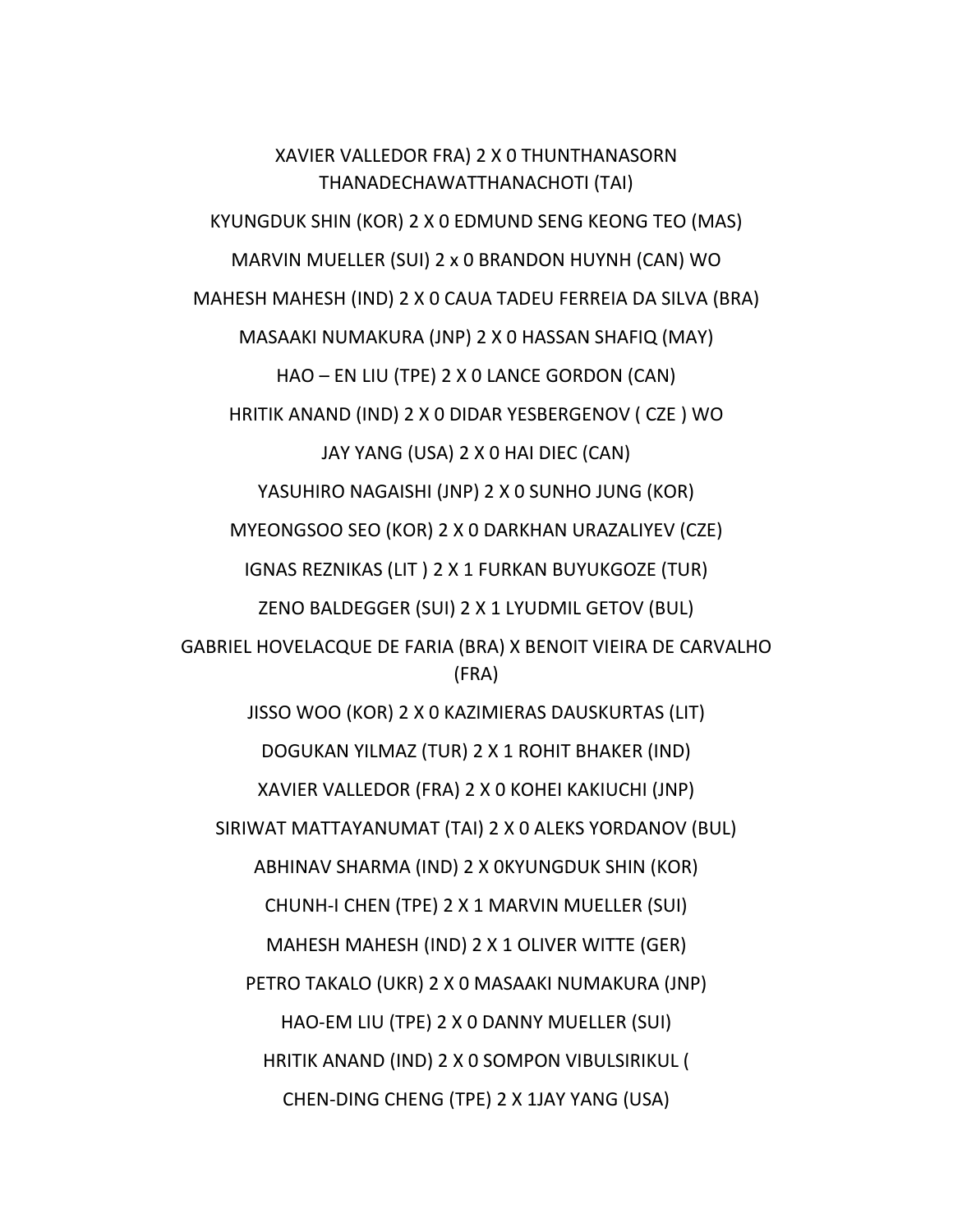XAVIER VALLEDOR FRA) 2 X 0 THUNTHANASORN THANADECHAWATTHANACHOTI (TAI) KYUNGDUK SHIN (KOR) 2 X 0 EDMUND SENG KEONG TEO (MAS) MARVIN MUELLER (SUI) 2 x 0 BRANDON HUYNH (CAN) WO MAHESH MAHESH (IND) 2 X 0 CAUA TADEU FERREIA DA SILVA (BRA) MASAAKI NUMAKURA (JNP) 2 X 0 HASSAN SHAFIQ (MAY) HAO – EN LIU (TPE) 2 X 0 LANCE GORDON (CAN) HRITIK ANAND (IND) 2 X 0 DIDAR YESBERGENOV ( CZE ) WO JAY YANG (USA) 2 X 0 HAI DIEC (CAN) YASUHIRO NAGAISHI (JNP) 2 X 0 SUNHO JUNG (KOR) MYEONGSOO SEO (KOR) 2 X 0 DARKHAN URAZALIYEV (CZE) IGNAS REZNIKAS (LIT ) 2 X 1 FURKAN BUYUKGOZE (TUR) ZENO BALDEGGER (SUI) 2 X 1 LYUDMIL GETOV (BUL) GABRIEL HOVELACQUE DE FARIA (BRA) X BENOIT VIEIRA DE CARVALHO (FRA) JISSO WOO (KOR) 2 X 0 KAZIMIERAS DAUSKURTAS (LIT) DOGUKAN YILMAZ (TUR) 2 X 1 ROHIT BHAKER (IND) XAVIER VALLEDOR (FRA) 2 X 0 KOHEI KAKIUCHI (JNP) SIRIWAT MATTAYANUMAT (TAI) 2 X 0 ALEKS YORDANOV (BUL) ABHINAV SHARMA (IND) 2 X 0KYUNGDUK SHIN (KOR) CHUNH‐I CHEN (TPE) 2 X 1 MARVIN MUELLER (SUI) MAHESH MAHESH (IND) 2 X 1 OLIVER WITTE (GER) PETRO TAKALO (UKR) 2 X 0 MASAAKI NUMAKURA (JNP) HAO‐EM LIU (TPE) 2 X 0 DANNY MUELLER (SUI) HRITIK ANAND (IND) 2 X 0 SOMPON VIBULSIRIKUL ( CHEN‐DING CHENG (TPE) 2 X 1JAY YANG (USA)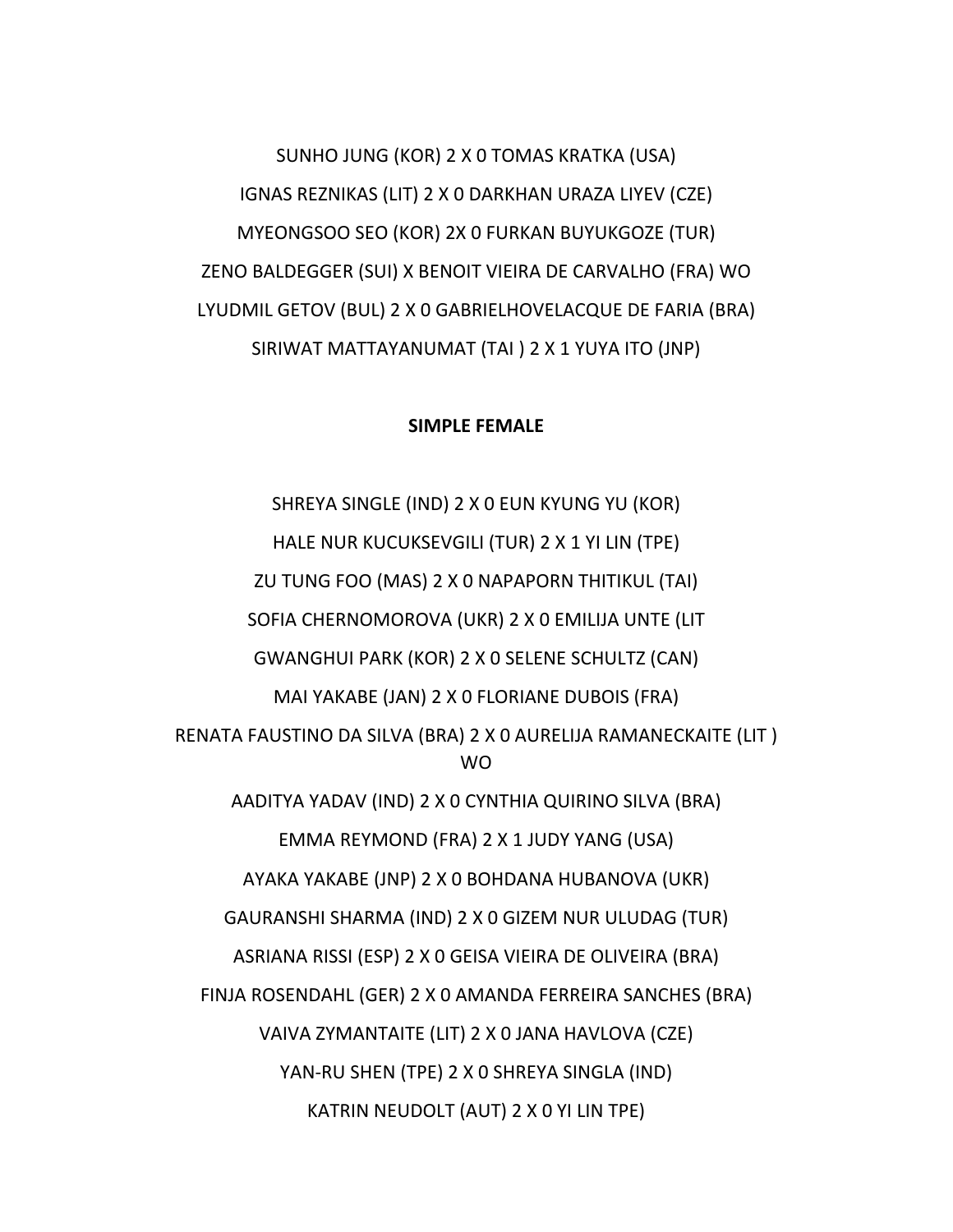SUNHO JUNG (KOR) 2 X 0 TOMAS KRATKA (USA) IGNAS REZNIKAS (LIT) 2 X 0 DARKHAN URAZA LIYEV (CZE) MYEONGSOO SEO (KOR) 2X 0 FURKAN BUYUKGOZE (TUR) ZENO BALDEGGER (SUI) X BENOIT VIEIRA DE CARVALHO (FRA) WO LYUDMIL GETOV (BUL) 2 X 0 GABRIELHOVELACQUE DE FARIA (BRA) SIRIWAT MATTAYANUMAT (TAI ) 2 X 1 YUYA ITO (JNP)

#### **SIMPLE FEMALE**

SHREYA SINGLE (IND) 2 X 0 EUN KYUNG YU (KOR) HALE NUR KUCUKSEVGILI (TUR) 2 X 1 YI LIN (TPE) ZU TUNG FOO (MAS) 2 X 0 NAPAPORN THITIKUL (TAI) SOFIA CHERNOMOROVA (UKR) 2 X 0 EMILIJA UNTE (LIT GWANGHUI PARK (KOR) 2 X 0 SELENE SCHULTZ (CAN) MAI YAKABE (JAN) 2 X 0 FLORIANE DUBOIS (FRA) RENATA FAUSTINO DA SILVA (BRA) 2 X 0 AURELIJA RAMANECKAITE (LIT ) WO AADITYA YADAV (IND) 2 X 0 CYNTHIA QUIRINO SILVA (BRA) EMMA REYMOND (FRA) 2 X 1 JUDY YANG (USA) AYAKA YAKABE (JNP) 2 X 0 BOHDANA HUBANOVA (UKR) GAURANSHI SHARMA (IND) 2 X 0 GIZEM NUR ULUDAG (TUR) ASRIANA RISSI (ESP) 2 X 0 GEISA VIEIRA DE OLIVEIRA (BRA) FINJA ROSENDAHL (GER) 2 X 0 AMANDA FERREIRA SANCHES (BRA) VAIVA ZYMANTAITE (LIT) 2 X 0 JANA HAVLOVA (CZE) YAN‐RU SHEN (TPE) 2 X 0 SHREYA SINGLA (IND) KATRIN NEUDOLT (AUT) 2 X 0 YI LIN TPE)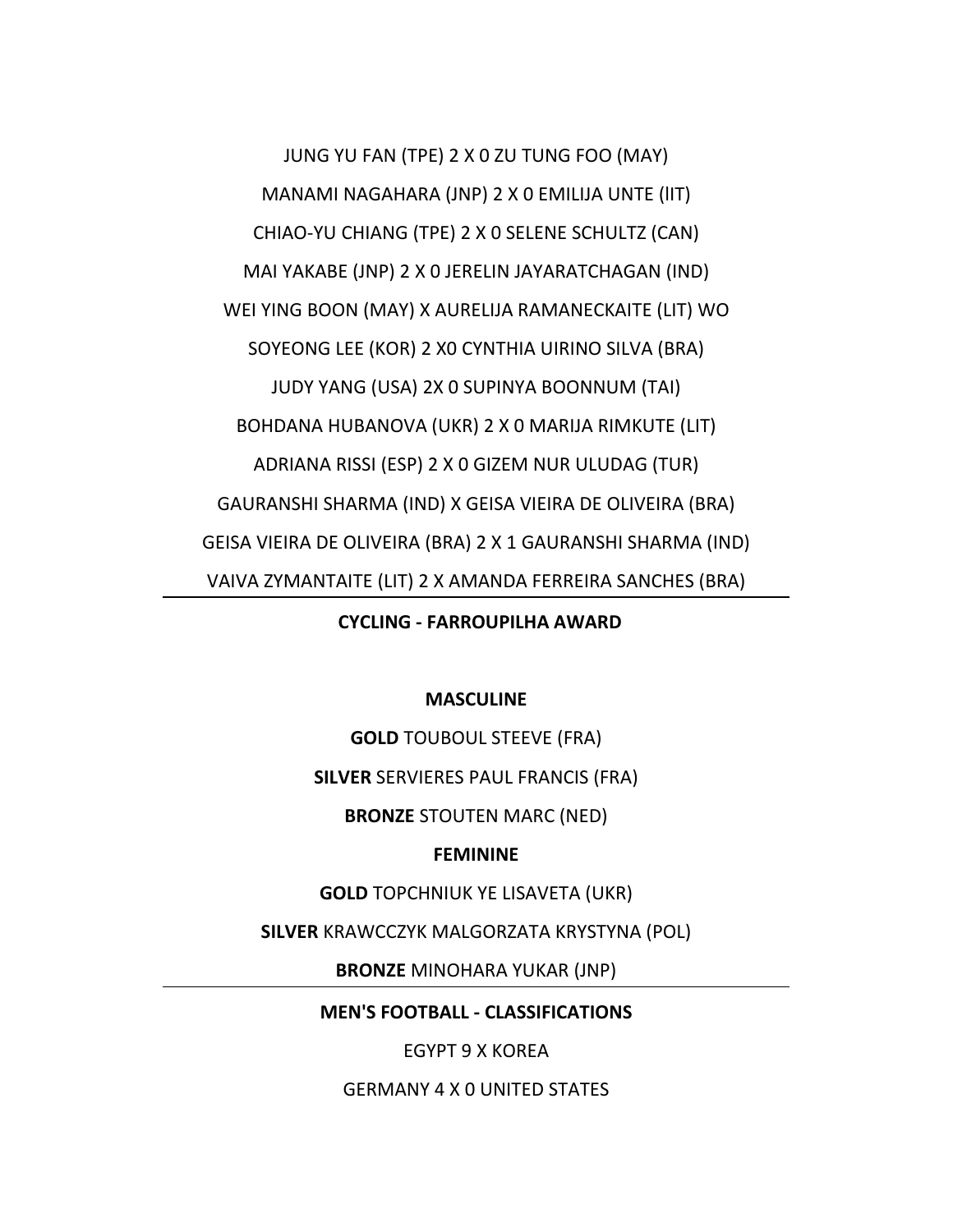JUNG YU FAN (TPE) 2 X 0 ZU TUNG FOO (MAY) MANAMI NAGAHARA (JNP) 2 X 0 EMILIJA UNTE (lIT) CHIAO‐YU CHIANG (TPE) 2 X 0 SELENE SCHULTZ (CAN) MAI YAKABE (JNP) 2 X 0 JERELIN JAYARATCHAGAN (IND) WEI YING BOON (MAY) X AURELIJA RAMANECKAITE (LIT) WO SOYEONG LEE (KOR) 2 X0 CYNTHIA UIRINO SILVA (BRA) JUDY YANG (USA) 2X 0 SUPINYA BOONNUM (TAI) BOHDANA HUBANOVA (UKR) 2 X 0 MARIJA RIMKUTE (LIT) ADRIANA RISSI (ESP) 2 X 0 GIZEM NUR ULUDAG (TUR) GAURANSHI SHARMA (IND) X GEISA VIEIRA DE OLIVEIRA (BRA) GEISA VIEIRA DE OLIVEIRA (BRA) 2 X 1 GAURANSHI SHARMA (IND) VAIVA ZYMANTAITE (LIT) 2 X AMANDA FERREIRA SANCHES (BRA)

**CYCLING ‐ FARROUPILHA AWARD**

## **MASCULINE**

**GOLD** TOUBOUL STEEVE (FRA)

**SILVER** SERVIERES PAUL FRANCIS (FRA)

**BRONZE** STOUTEN MARC (NED)

#### **FEMININE**

**GOLD** TOPCHNIUK YE LISAVETA (UKR)

**SILVER** KRAWCCZYK MALGORZATA KRYSTYNA (POL)

**BRONZE** MINOHARA YUKAR (JNP)

**MEN'S FOOTBALL ‐ CLASSIFICATIONS**

EGYPT 9 X KOREA

GERMANY 4 X 0 UNITED STATES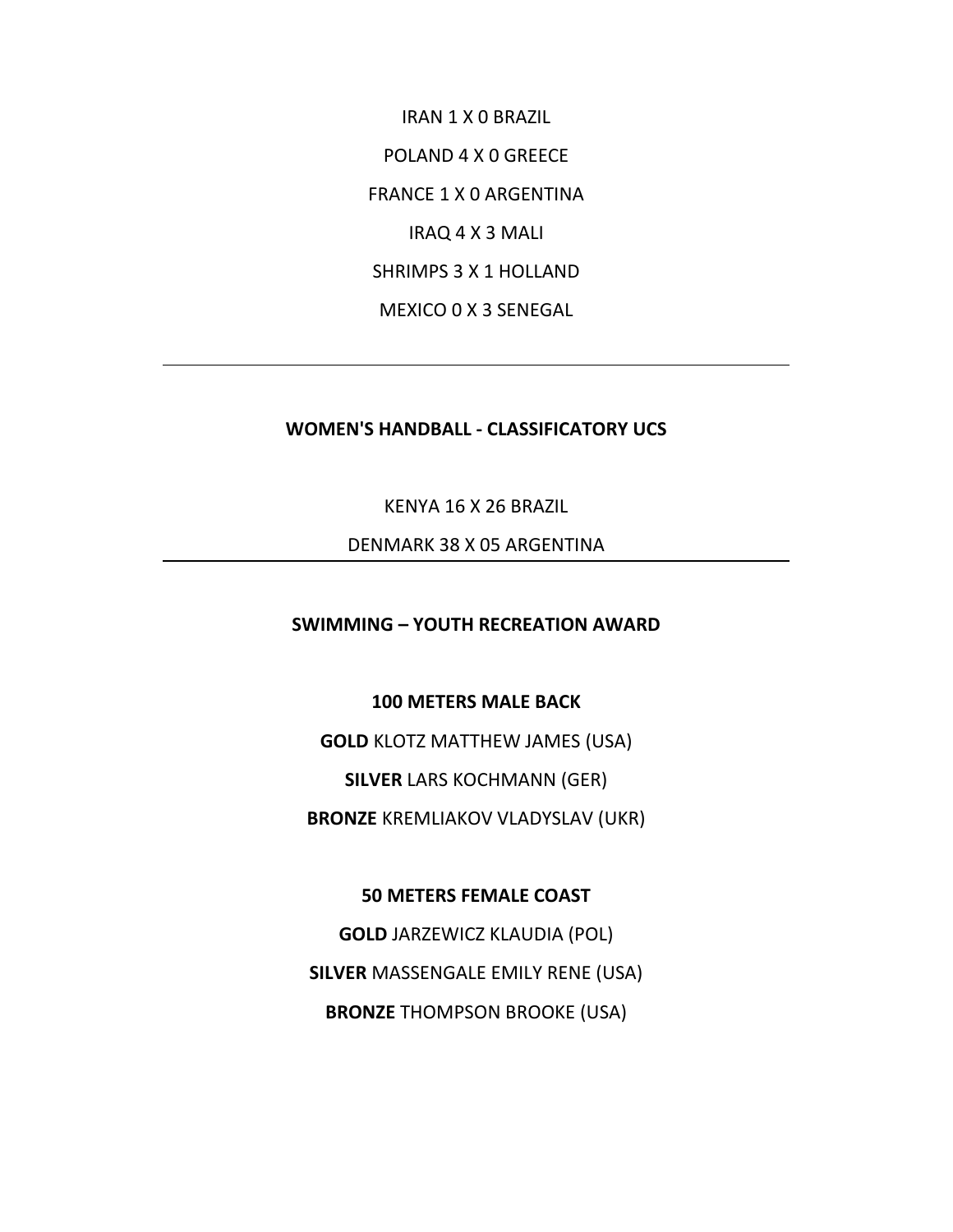IRAN 1 X 0 BRAZIL POLAND 4 X 0 GREECE FRANCE 1 X 0 ARGENTINA IRAQ 4 X 3 MALI SHRIMPS 3 X 1 HOLLAND MEXICO 0 X 3 SENEGAL

## **WOMEN'S HANDBALL ‐ CLASSIFICATORY UCS**

KENYA 16 X 26 BRAZIL

DENMARK 38 X 05 ARGENTINA

**SWIMMING – YOUTH RECREATION AWARD**

**100 METERS MALE BACK**

**GOLD** KLOTZ MATTHEW JAMES (USA)

**SILVER** LARS KOCHMANN (GER)

**BRONZE** KREMLIAKOV VLADYSLAV (UKR)

**50 METERS FEMALE COAST**

**GOLD** JARZEWICZ KLAUDIA (POL) **SILVER** MASSENGALE EMILY RENE (USA) **BRONZE** THOMPSON BROOKE (USA)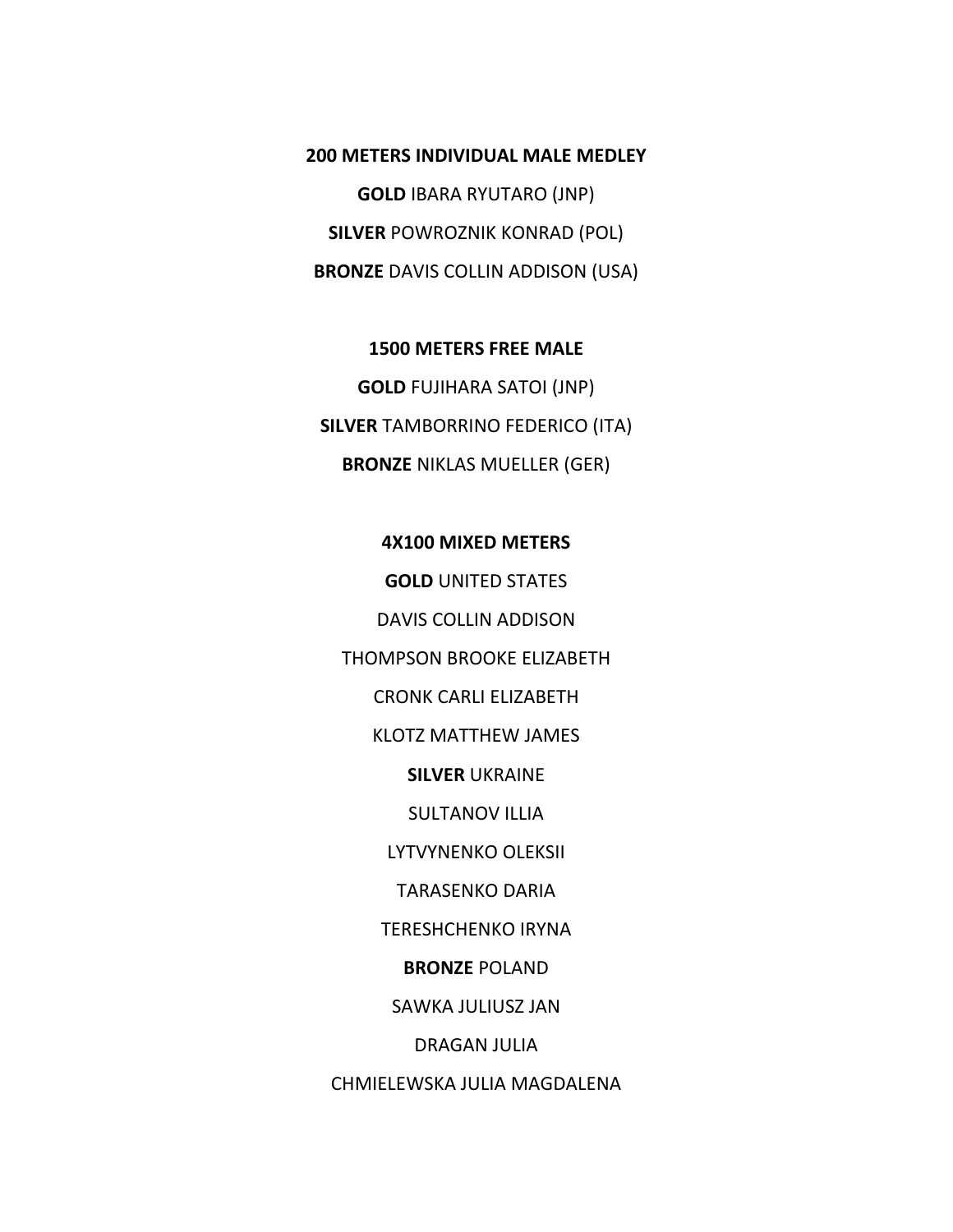**200 METERS INDIVIDUAL MALE MEDLEY GOLD** IBARA RYUTARO (JNP) **SILVER** POWROZNIK KONRAD (POL) **BRONZE** DAVIS COLLIN ADDISON (USA)

**1500 METERS FREE MALE GOLD** FUJIHARA SATOI (JNP) **SILVER** TAMBORRINO FEDERICO (ITA) **BRONZE** NIKLAS MUELLER (GER)

#### **4X100 MIXED METERS**

**GOLD** UNITED STATES DAVIS COLLIN ADDISON THOMPSON BROOKE ELIZABETH CRONK CARLI ELIZABETH KLOTZ MATTHEW JAMES **SILVER** UKRAINE SULTANOV ILLIA LYTVYNENKO OLEKSII TARASENKO DARIA TERESHCHENKO IRYNA **BRONZE** POLAND SAWKA JULIUSZ JAN DRAGAN JULIA CHMIELEWSKA JULIA MAGDALENA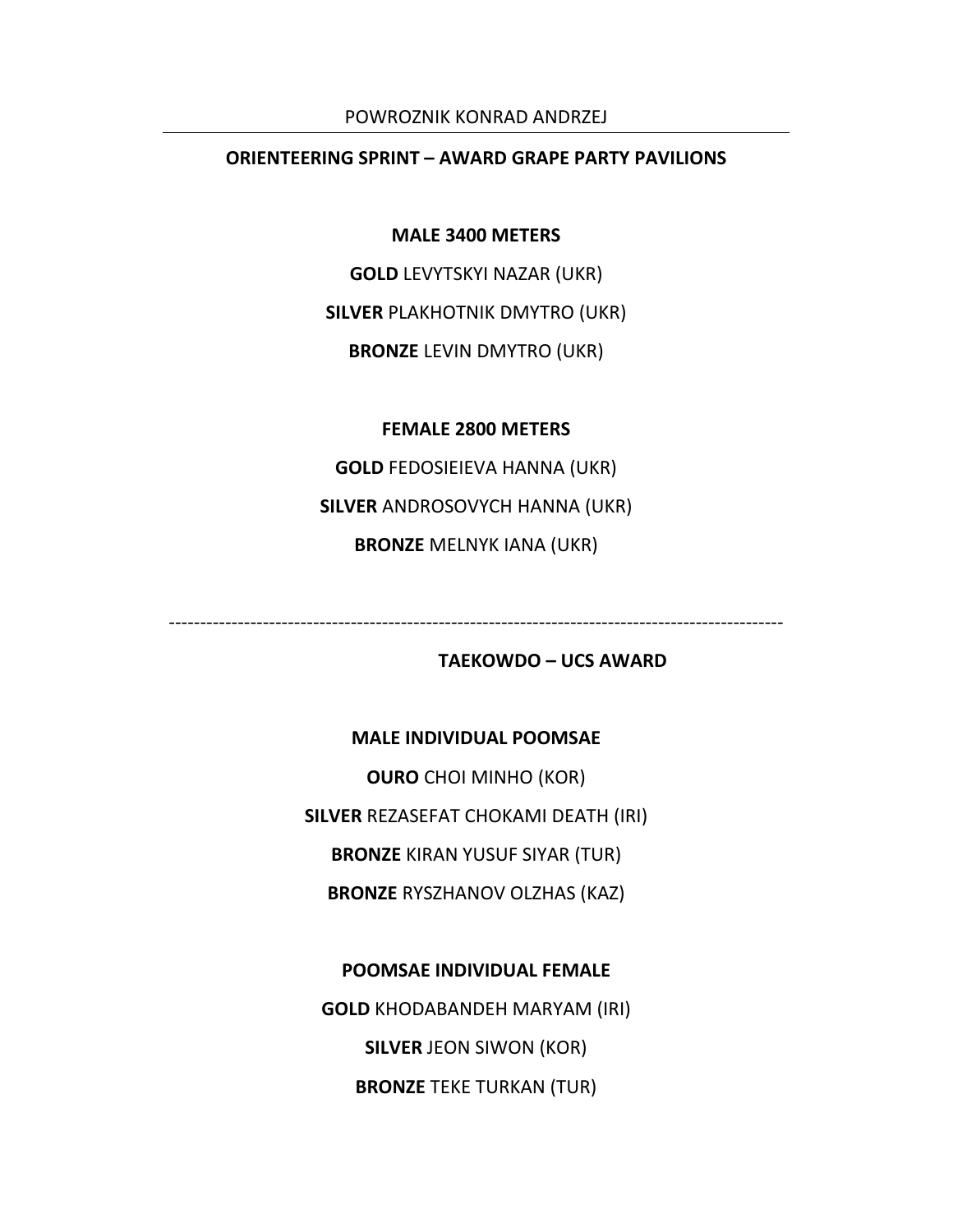#### POWROZNIK KONRAD ANDRZEJ

## **ORIENTEERING SPRINT – AWARD GRAPE PARTY PAVILIONS**

**MALE 3400 METERS**

**GOLD** LEVYTSKYI NAZAR (UKR)

**SILVER** PLAKHOTNIK DMYTRO (UKR)

**BRONZE** LEVIN DMYTRO (UKR)

#### **FEMALE 2800 METERS**

**GOLD** FEDOSIEIEVA HANNA (UKR) **SILVER** ANDROSOVYCH HANNA (UKR) **BRONZE** MELNYK IANA (UKR)

‐‐‐‐‐‐‐‐‐‐‐‐‐‐‐‐‐‐‐‐‐‐‐‐‐‐‐‐‐‐‐‐‐‐‐‐‐‐‐‐‐‐‐‐‐‐‐‐‐‐‐‐‐‐‐‐‐‐‐‐‐‐‐‐‐‐‐‐‐‐‐‐‐‐‐‐‐‐‐‐‐‐‐‐‐‐‐‐‐‐‐‐‐‐‐‐‐‐

# **TAEKOWDO – UCS AWARD**

#### **MALE INDIVIDUAL POOMSAE**

**OURO** CHOI MINHO (KOR) **SILVER** REZASEFAT CHOKAMI DEATH (IRI) **BRONZE** KIRAN YUSUF SIYAR (TUR) **BRONZE** RYSZHANOV OLZHAS (KAZ)

**POOMSAE INDIVIDUAL FEMALE GOLD** KHODABANDEH MARYAM (IRI) **SILVER** JEON SIWON (KOR) **BRONZE** TEKE TURKAN (TUR)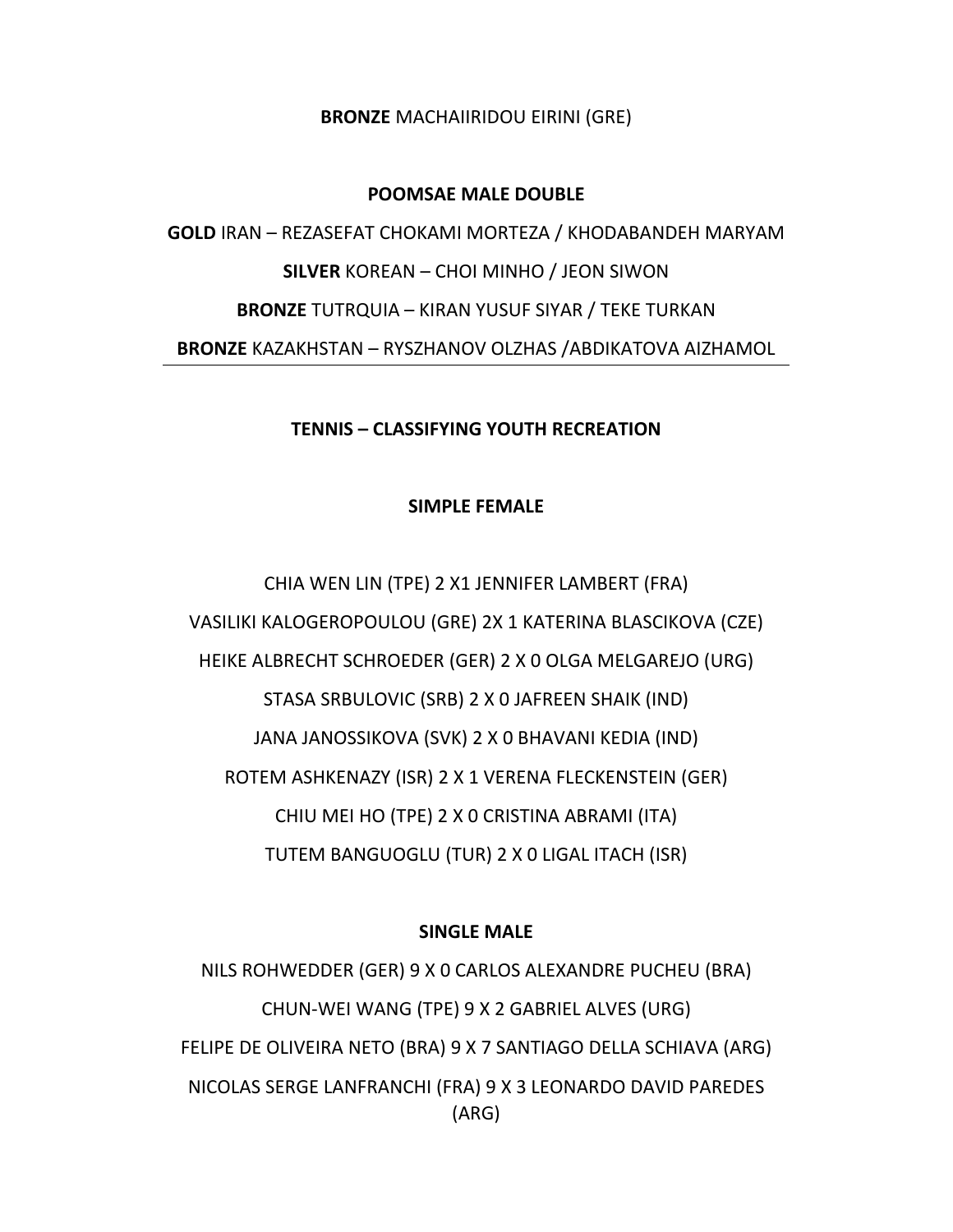**BRONZE** MACHAIIRIDOU EIRINI (GRE)

#### **POOMSAE MALE DOUBLE**

**GOLD** IRAN – REZASEFAT CHOKAMI MORTEZA / KHODABANDEH MARYAM **SILVER** KOREAN – CHOI MINHO / JEON SIWON **BRONZE** TUTRQUIA – KIRAN YUSUF SIYAR / TEKE TURKAN **BRONZE** KAZAKHSTAN – RYSZHANOV OLZHAS /ABDIKATOVA AIZHAMOL

## **TENNIS – CLASSIFYING YOUTH RECREATION**

## **SIMPLE FEMALE**

CHIA WEN LIN (TPE) 2 X1 JENNIFER LAMBERT (FRA) VASILIKI KALOGEROPOULOU (GRE) 2X 1 KATERINA BLASCIKOVA (CZE) HEIKE ALBRECHT SCHROEDER (GER) 2 X 0 OLGA MELGAREJO (URG) STASA SRBULOVIC (SRB) 2 X 0 JAFREEN SHAIK (IND) JANA JANOSSIKOVA (SVK) 2 X 0 BHAVANI KEDIA (IND) ROTEM ASHKENAZY (ISR) 2 X 1 VERENA FLECKENSTEIN (GER) CHIU MEI HO (TPE) 2 X 0 CRISTINA ABRAMI (ITA) TUTEM BANGUOGLU (TUR) 2 X 0 LIGAL ITACH (ISR)

## **SINGLE MALE**

NILS ROHWEDDER (GER) 9 X 0 CARLOS ALEXANDRE PUCHEU (BRA) CHUN‐WEI WANG (TPE) 9 X 2 GABRIEL ALVES (URG) FELIPE DE OLIVEIRA NETO (BRA) 9 X 7 SANTIAGO DELLA SCHIAVA (ARG) NICOLAS SERGE LANFRANCHI (FRA) 9 X 3 LEONARDO DAVID PAREDES (ARG)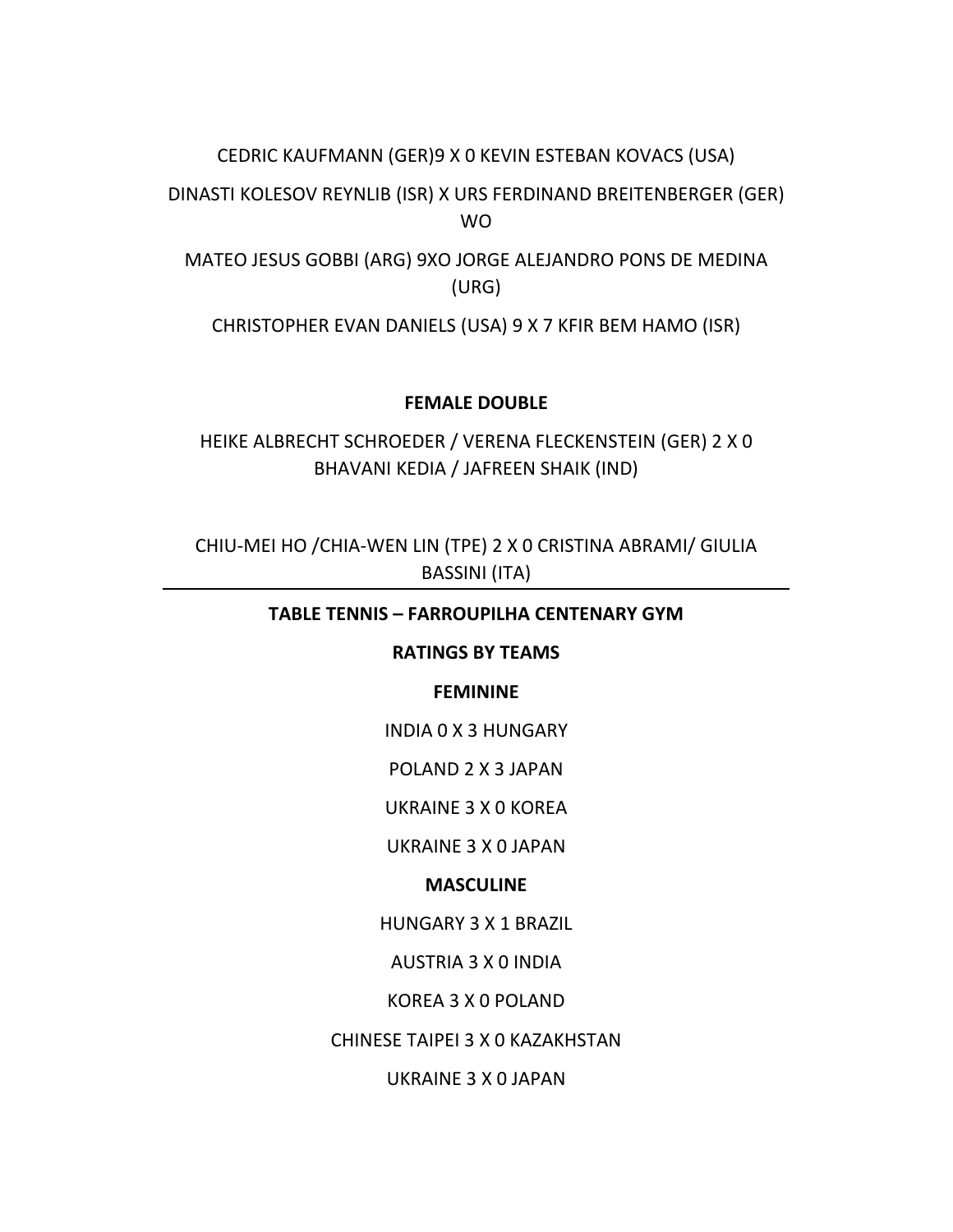## CEDRIC KAUFMANN (GER)9 X 0 KEVIN ESTEBAN KOVACS (USA)

DINASTI KOLESOV REYNLIB (ISR) X URS FERDINAND BREITENBERGER (GER) WO

MATEO JESUS GOBBI (ARG) 9XO JORGE ALEJANDRO PONS DE MEDINA (URG)

CHRISTOPHER EVAN DANIELS (USA) 9 X 7 KFIR BEM HAMO (ISR)

## **FEMALE DOUBLE**

HEIKE ALBRECHT SCHROEDER / VERENA FLECKENSTEIN (GER) 2 X 0 BHAVANI KEDIA / JAFREEN SHAIK (IND)

CHIU‐MEI HO /CHIA‐WEN LIN (TPE) 2 X 0 CRISTINA ABRAMI/ GIULIA BASSINI (ITA)

## **TABLE TENNIS – FARROUPILHA CENTENARY GYM**

## **RATINGS BY TEAMS**

## **FEMININE**

INDIA 0 X 3 HUNGARY

POLAND 2 X 3 JAPAN

UKRAINE 3 X 0 KOREA

UKRAINE 3 X 0 JAPAN

## **MASCULINE**

HUNGARY 3 X 1 BRAZIL

AUSTRIA 3 X 0 INDIA

KOREA 3 X 0 POLAND

CHINESE TAIPEI 3 X 0 KAZAKHSTAN

UKRAINE 3 X 0 JAPAN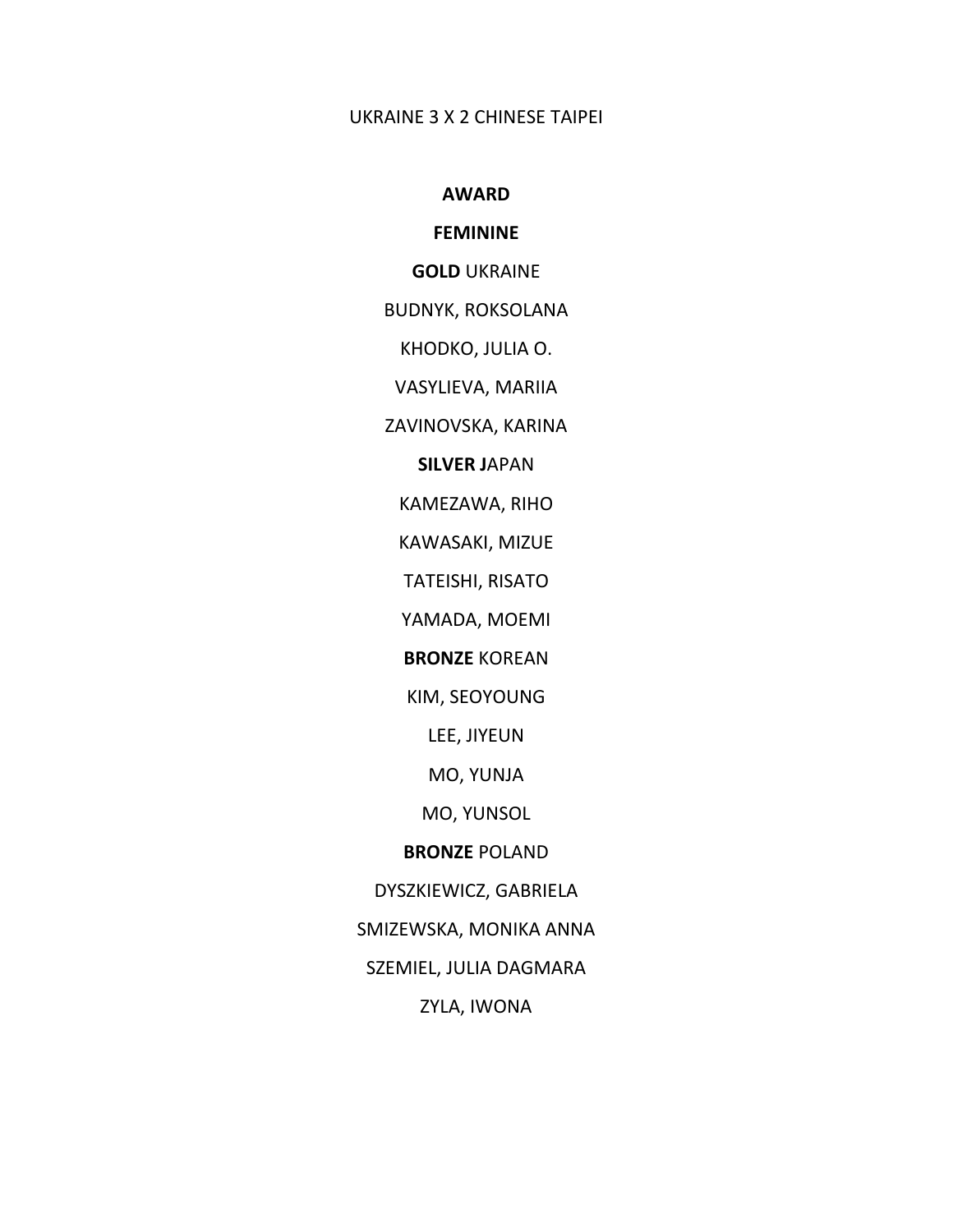#### UKRAINE 3 X 2 CHINESE TAIPEI

#### **AWARD**

# **FEMININE**

#### **GOLD** UKRAINE

#### BUDNYK, ROKSOLANA

KHODKO, JULIA O.

VASYLIEVA, MARIIA

ZAVINOVSKA, KARINA

## **SILVER J**APAN

KAMEZAWA, RIHO

KAWASAKI, MIZUE

TATEISHI, RISATO

YAMADA, MOEMI

**BRONZE** KOREAN

KIM, SEOYOUNG

LEE, JIYEUN

MO, YUNJA

MO, YUNSOL

#### **BRONZE** POLAND

DYSZKIEWICZ, GABRIELA

SMIZEWSKA, MONIKA ANNA

SZEMIEL, JULIA DAGMARA

ZYLA, IWONA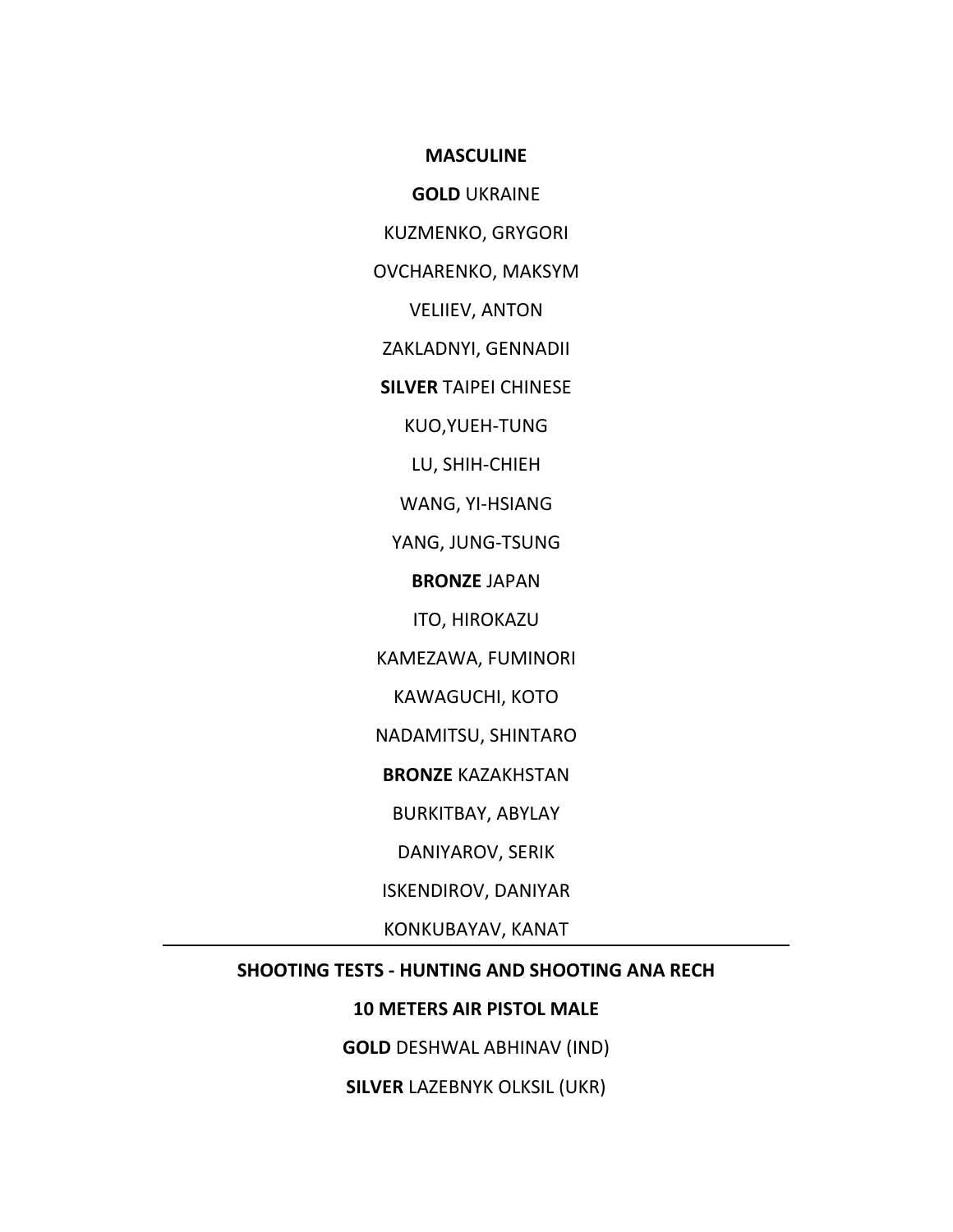**MASCULINE**

**GOLD** UKRAINE

KUZMENKO, GRYGORI

OVCHARENKO, MAKSYM

VELIIEV, ANTON

ZAKLADNYI, GENNADII

**SILVER** TAIPEI CHINESE

KUO,YUEH‐TUNG

LU, SHIH‐CHIEH

WANG, YI‐HSIANG

YANG, JUNG‐TSUNG

**BRONZE** JAPAN

ITO, HIROKAZU

KAMEZAWA, FUMINORI

KAWAGUCHI, KOTO

NADAMITSU, SHINTARO

**BRONZE** KAZAKHSTAN

BURKITBAY, ABYLAY

DANIYAROV, SERIK

ISKENDIROV, DANIYAR

KONKUBAYAV, KANAT

## **SHOOTING TESTS ‐ HUNTING AND SHOOTING ANA RECH**

# **10 METERS AIR PISTOL MALE**

**GOLD** DESHWAL ABHINAV (IND)

**SILVER** LAZEBNYK OLKSIL (UKR)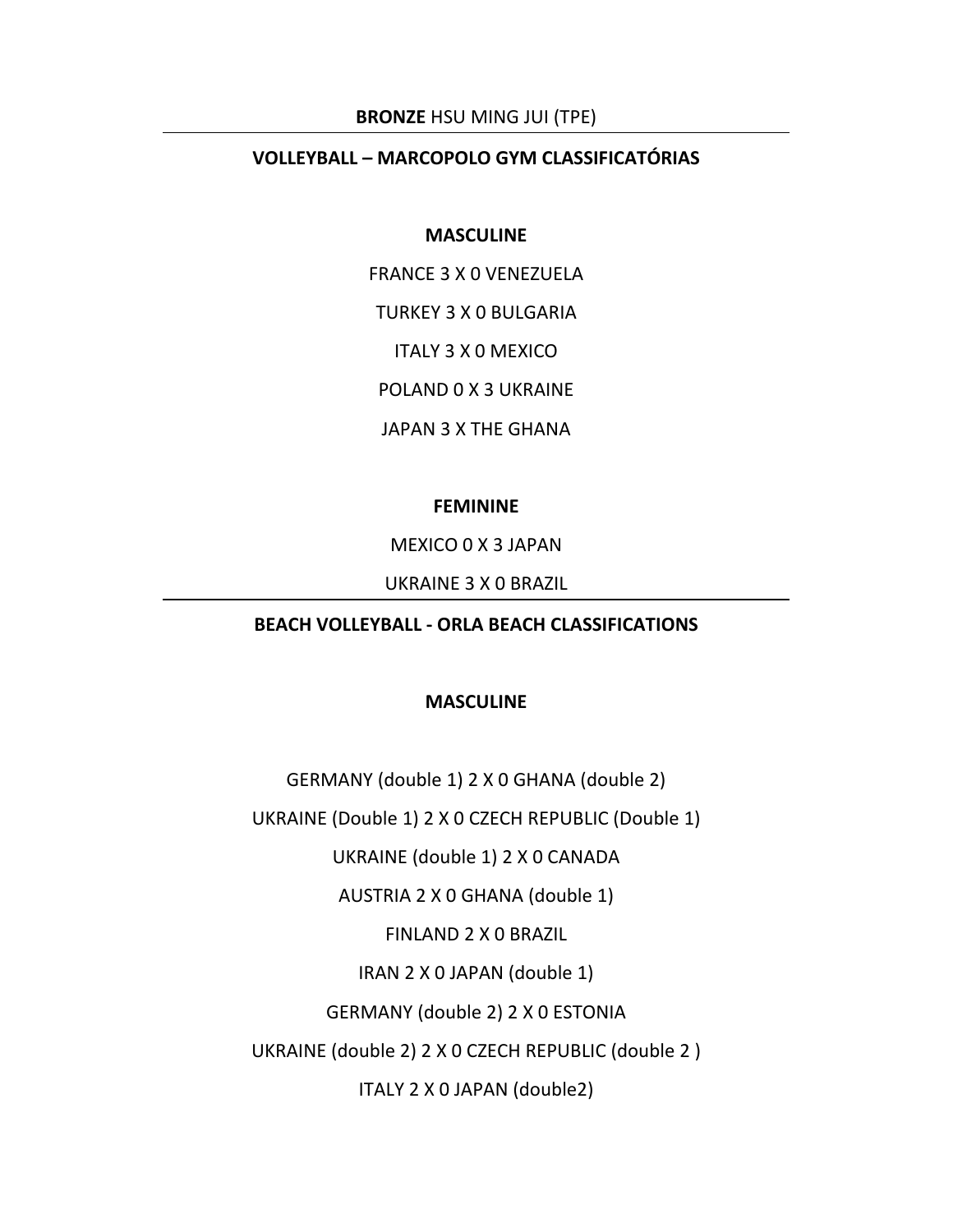#### **BRONZE** HSU MING JUI (TPE)

## **VOLLEYBALL – MARCOPOLO GYM CLASSIFICATÓRIAS**

#### **MASCULINE**

FRANCE 3 X 0 VENEZUELA

TURKEY 3 X 0 BULGARIA

ITALY 3 X 0 MEXICO

POLAND 0 X 3 UKRAINE

JAPAN 3 X THE GHANA

## **FEMININE**

MEXICO 0 X 3 JAPAN

UKRAINE 3 X 0 BRAZIL

# **BEACH VOLLEYBALL ‐ ORLA BEACH CLASSIFICATIONS**

## **MASCULINE**

GERMANY (double 1) 2 X 0 GHANA (double 2)

UKRAINE (Double 1) 2 X 0 CZECH REPUBLIC (Double 1)

UKRAINE (double 1) 2 X 0 CANADA

AUSTRIA 2 X 0 GHANA (double 1)

FINLAND 2 X 0 BRAZIL

IRAN 2 X 0 JAPAN (double 1)

GERMANY (double 2) 2 X 0 ESTONIA

UKRAINE (double 2) 2 X 0 CZECH REPUBLIC (double 2 )

ITALY 2 X 0 JAPAN (double2)